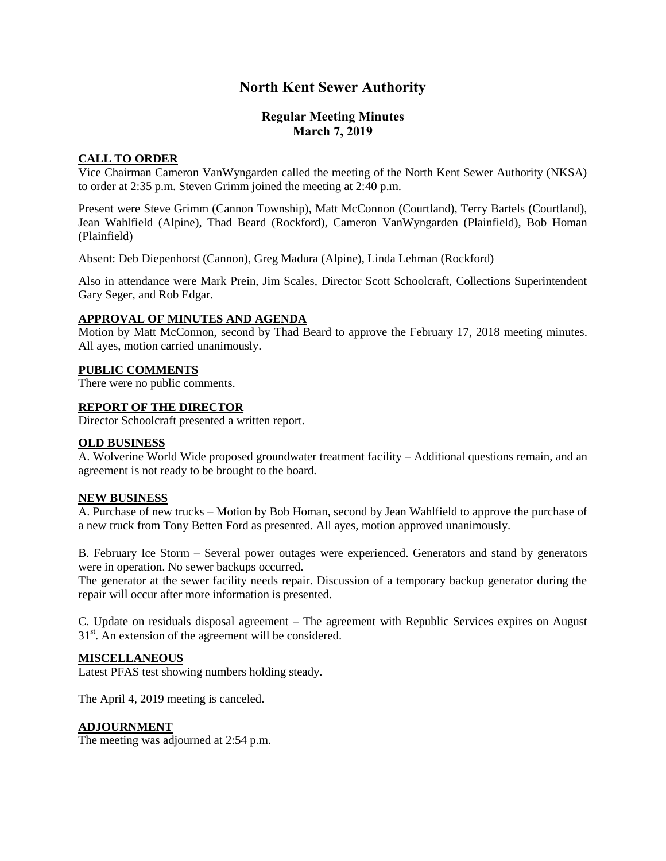# **North Kent Sewer Authority**

# **Regular Meeting Minutes March 7, 2019**

## **CALL TO ORDER**

Vice Chairman Cameron VanWyngarden called the meeting of the North Kent Sewer Authority (NKSA) to order at 2:35 p.m. Steven Grimm joined the meeting at 2:40 p.m.

Present were Steve Grimm (Cannon Township), Matt McConnon (Courtland), Terry Bartels (Courtland), Jean Wahlfield (Alpine), Thad Beard (Rockford), Cameron VanWyngarden (Plainfield), Bob Homan (Plainfield)

Absent: Deb Diepenhorst (Cannon), Greg Madura (Alpine), Linda Lehman (Rockford)

Also in attendance were Mark Prein, Jim Scales, Director Scott Schoolcraft, Collections Superintendent Gary Seger, and Rob Edgar.

#### **APPROVAL OF MINUTES AND AGENDA**

Motion by Matt McConnon, second by Thad Beard to approve the February 17, 2018 meeting minutes. All ayes, motion carried unanimously.

#### **PUBLIC COMMENTS**

There were no public comments.

#### **REPORT OF THE DIRECTOR**

Director Schoolcraft presented a written report.

#### **OLD BUSINESS**

A. Wolverine World Wide proposed groundwater treatment facility – Additional questions remain, and an agreement is not ready to be brought to the board.

## **NEW BUSINESS**

A. Purchase of new trucks – Motion by Bob Homan, second by Jean Wahlfield to approve the purchase of a new truck from Tony Betten Ford as presented. All ayes, motion approved unanimously.

B. February Ice Storm – Several power outages were experienced. Generators and stand by generators were in operation. No sewer backups occurred.

The generator at the sewer facility needs repair. Discussion of a temporary backup generator during the repair will occur after more information is presented.

C. Update on residuals disposal agreement – The agreement with Republic Services expires on August  $31<sup>st</sup>$ . An extension of the agreement will be considered.

#### **MISCELLANEOUS**

Latest PFAS test showing numbers holding steady.

The April 4, 2019 meeting is canceled.

#### **ADJOURNMENT**

The meeting was adjourned at 2:54 p.m.